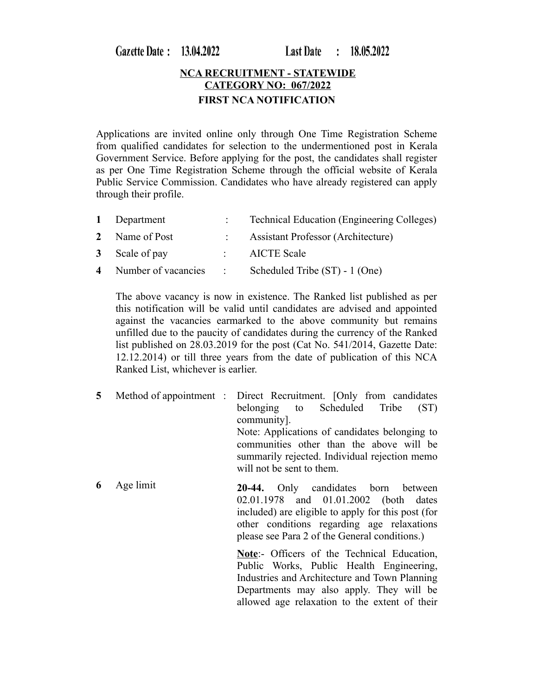Gazette Date: 13.04.2022

**Last Date**  $: 18.05.2022$ 

## **NCA RECRUITMENT - STATEWIDE CATEGORY NO: 067/2022 FIRST NCA NOTIFICATION**

Applications are invited online only through One Time Registration Scheme from qualified candidates for selection to the undermentioned post in Kerala Government Service. Before applying for the post, the candidates shall register as per One Time Registration Scheme through the official website of Kerala Public Service Commission. Candidates who have already registered can apply through their profile.

| 1 Department          |                                         | <b>Technical Education (Engineering Colleges)</b> |
|-----------------------|-----------------------------------------|---------------------------------------------------|
| 2 Name of Post        |                                         | <b>Assistant Professor (Architecture)</b>         |
| 3 Scale of pay        |                                         | <b>AICTE Scale</b>                                |
| 4 Number of vacancies | $\mathcal{L} = \mathcal{L} \mathcal{L}$ | Scheduled Tribe (ST) - 1 (One)                    |

The above vacancy is now in existence. The Ranked list published as per this notification will be valid until candidates are advised and appointed against the vacancies earmarked to the above community but remains unfilled due to the paucity of candidates during the currency of the Ranked list published on 28.03.2019 for the post (Cat No. 541/2014, Gazette Date: 12.12.2014) or till three years from the date of publication of this NCA Ranked List, whichever is earlier.

**5** Method of appointment : Direct Recruitment. [Only from candidates belonging to Scheduled Tribe (ST) community]. Note: Applications of candidates belonging to communities other than the above will be summarily rejected. Individual rejection memo will not be sent to them.

**6** Age limit **20-44.** Only candidates born between 02.01.1978 and 01.01.2002 (both dates included) are eligible to apply for this post (for other conditions regarding age relaxations please see Para 2 of the General conditions.)

> **Note**:- Officers of the Technical Education, Public Works, Public Health Engineering, Industries and Architecture and Town Planning Departments may also apply. They will be allowed age relaxation to the extent of their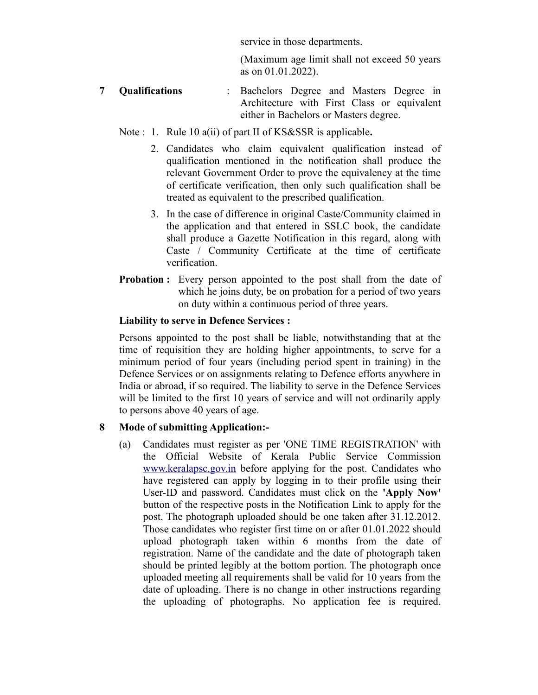service in those departments.

(Maximum age limit shall not exceed 50 years as on 01.01.2022).

- **7 Qualifications** : Bachelors Degree and Masters Degree in Architecture with First Class or equivalent either in Bachelors or Masters degree.
	- Note : 1. Rule 10 a(ii) of part II of KS&SSR is applicable**.** 
		- 2. Candidates who claim equivalent qualification instead of qualification mentioned in the notification shall produce the relevant Government Order to prove the equivalency at the time of certificate verification, then only such qualification shall be treated as equivalent to the prescribed qualification.
		- 3. In the case of difference in original Caste/Community claimed in the application and that entered in SSLC book, the candidate shall produce a Gazette Notification in this regard, along with Caste / Community Certificate at the time of certificate verification.
	- **Probation :** Every person appointed to the post shall from the date of which he joins duty, be on probation for a period of two years on duty within a continuous period of three years.

## **Liability to serve in Defence Services :**

Persons appointed to the post shall be liable, notwithstanding that at the time of requisition they are holding higher appointments, to serve for a minimum period of four years (including period spent in training) in the Defence Services or on assignments relating to Defence efforts anywhere in India or abroad, if so required. The liability to serve in the Defence Services will be limited to the first 10 years of service and will not ordinarily apply to persons above 40 years of age.

## **8 Mode of submitting Application:-**

(a) Candidates must register as per 'ONE TIME REGISTRATION' with the Official Website of Kerala Public Service Commission [www.keralapsc.gov.in](http://www.kerealapsc.gov.in/) before applying for the post. Candidates who have registered can apply by logging in to their profile using their User-ID and password. Candidates must click on the **'Apply Now'** button of the respective posts in the Notification Link to apply for the post. The photograph uploaded should be one taken after 31.12.2012. Those candidates who register first time on or after 01.01.2022 should upload photograph taken within 6 months from the date of registration. Name of the candidate and the date of photograph taken should be printed legibly at the bottom portion. The photograph once uploaded meeting all requirements shall be valid for 10 years from the date of uploading. There is no change in other instructions regarding the uploading of photographs. No application fee is required.